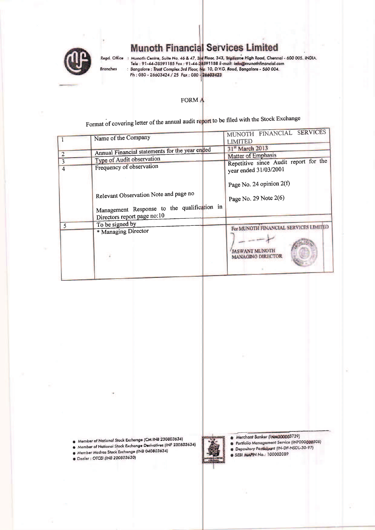

# **Munoth Financial Services Limited**

Regd. Office : Munoth Centre, Suite No. 46 & 47, 3rd Floor, 343, Triplicane High Road, Chennai - 600 005. iNDIA.<br>Tele : 91-44-28591185 Fax : 91-44-28591188 E-mail: info@munothfinancial.com<br>Branches : Bangalore : Trust Comp

#### FORM A

Format of covering letter of the annual audit report to be filed with the Stock Exchange

|        | Name of the Company                                                                                                 | MUNOTH FINANCIAL SERVICES<br><b>LIMITED</b>                    |
|--------|---------------------------------------------------------------------------------------------------------------------|----------------------------------------------------------------|
| 2      | Annual Financial statements for the year ended                                                                      | 31 <sup>st</sup> March 2013<br><b>Matter of Emphasis</b>       |
| 3<br>4 | Type of Audit observation<br>Frequency of observation                                                               | Repetitive since Audit report for the<br>year ended 31/03/2001 |
|        | Relevant Observation Note and page no<br>Management Response to the qualification in<br>Directors report page no:10 | Page No. 24 opinion 2(f)<br>Page No. 29 Note 2(6)              |
| 5      | To be signed by                                                                                                     | For MUNOTH FINANCIAL SERVICES LIMITED                          |
|        | * Managing Director                                                                                                 | <b>JASWANT MUNOTH</b><br><b>MANAGING DIRECTOR</b>              |

Member of National Stock Exchange (CM INB 230803634)

Member of National Stock Exchange Derivatives (INF 230803634)

Member Madras Stock Exchange (INB 040803634)

· Dealer : OTCEI (INB 200803630)

- Merchant Banker (INM000003739)
- Portfolio Management Service (INP000000308) Depository Participant (IN-DP-NSDL-30-97)
- SEBI MAPIN No.: 100002089
-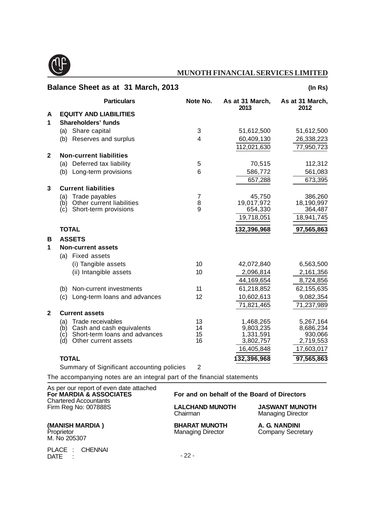

|                | Balance Sheet as at 31 March, 2013         |                |                         | (ln Rs)                 |
|----------------|--------------------------------------------|----------------|-------------------------|-------------------------|
|                | <b>Particulars</b>                         | Note No.       | As at 31 March,<br>2013 | As at 31 March,<br>2012 |
| A              | <b>EQUITY AND LIABILITIES</b>              |                |                         |                         |
| 1              | Shareholders' funds                        |                |                         |                         |
|                | Share capital<br>(a)                       | 3              | 51,612,500              | 51,612,500              |
|                | (b) Reserves and surplus                   | 4              | 60,409,130              | 26,338,223              |
|                |                                            |                | 112,021,630             | 77,950,723              |
| $\mathbf{2}$   | <b>Non-current liabilities</b>             |                |                         |                         |
|                | (a) Deferred tax liability                 | 5              | 70,515                  | 112,312                 |
|                | (b) Long-term provisions                   | 6              | 586,772                 | 561,083                 |
|                |                                            |                | 657,288                 | 673,395                 |
| 3              | <b>Current liabilities</b>                 |                |                         |                         |
|                | Trade payables<br>(a)                      | $\overline{7}$ | 45,750                  | 386,260                 |
|                | Other current liabilities<br>(b)           | 8              | 19,017,972              | 18,190,997              |
|                | Short-term provisions<br>(c)               | 9              | 654,330                 | 364,487                 |
|                |                                            |                | 19,718,051              | 18,941,745              |
|                | <b>TOTAL</b>                               |                | 132,396,968             | 97,565,863              |
| в              | <b>ASSETS</b>                              |                |                         |                         |
| 1              | <b>Non-current assets</b>                  |                |                         |                         |
|                | (a) Fixed assets                           |                |                         |                         |
|                | (i) Tangible assets                        | 10             | 42,072,840              | 6,563,500               |
|                | (ii) Intangible assets                     | 10             | 2,096,814               | 2,161,356               |
|                |                                            |                | 44,169,654              | 8,724,856               |
|                | Non-current investments<br>(b)             | 11             | 61,218,852              | 62,155,635              |
|                | (c)<br>Long-term loans and advances        | 12             | 10,602,613              | 9,082,354               |
|                |                                            |                | 71,821,465              | 71,237,989              |
| $\overline{2}$ | <b>Current assets</b>                      |                |                         |                         |
|                | Trade receivables<br>(a)                   | 13             | 1,468,265               | 5,267,164               |
|                | Cash and cash equivalents<br>(b)           | 14             | 9,803,235               | 8,686,234               |
|                | (c) Short-term loans and advances          | 15<br>16       | 1,331,591               | 930,066                 |
|                | (d)<br>Other current assets                |                | 3,802,757<br>16,405,848 | 2,719,553<br>17,603,017 |
|                |                                            |                |                         |                         |
|                | <b>TOTAL</b>                               |                | 132,396,968             | 97,565,863              |
|                | Summary of Significant accounting policies | $\overline{2}$ |                         |                         |

The accompanying notes are an integral part of the financial statements

| As per our report of even date attached<br>For MARDIA & ASSOCIATES<br><b>Chartered Accountants</b> | For and on behalf of the Board of Directors      |                                                   |  |  |  |
|----------------------------------------------------------------------------------------------------|--------------------------------------------------|---------------------------------------------------|--|--|--|
| Firm Reg No: 007888S                                                                               | <b>LALCHAND MUNOTH</b><br>Chairman               | <b>JASWANT MUNOTH</b><br><b>Managing Director</b> |  |  |  |
| (MANISH MARDIA)<br>Proprietor<br>M. No 205307                                                      | <b>BHARAT MUNOTH</b><br><b>Managing Director</b> | A. G. NANDINI<br><b>Company Secretary</b>         |  |  |  |
| PLACE : CHENNAI<br>DATE:                                                                           | $-22-$                                           |                                                   |  |  |  |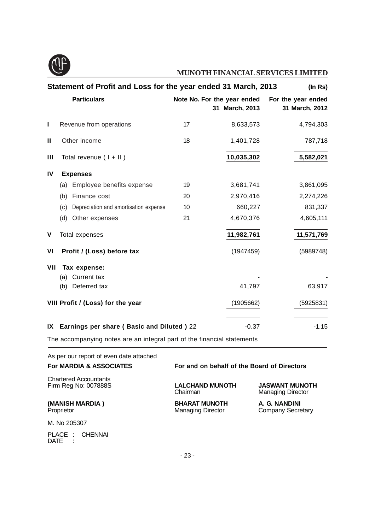

|               |     | Statement of Profit and Loss for the year ended 31 March, 2013          |    |                                               | (ln Rs)                              |
|---------------|-----|-------------------------------------------------------------------------|----|-----------------------------------------------|--------------------------------------|
|               |     | <b>Particulars</b>                                                      |    | Note No. For the year ended<br>31 March, 2013 | For the year ended<br>31 March, 2012 |
| L             |     | Revenue from operations                                                 | 17 | 8,633,573                                     | 4,794,303                            |
| $\mathbf{II}$ |     | Other income                                                            | 18 | 1,401,728                                     | 787,718                              |
| Ш             |     | Total revenue $(1 + 11)$                                                |    | 10,035,302                                    | 5,582,021                            |
| <b>IV</b>     |     | <b>Expenses</b>                                                         |    |                                               |                                      |
|               | (a) | Employee benefits expense                                               | 19 | 3,681,741                                     | 3,861,095                            |
|               | (b) | Finance cost                                                            | 20 | 2,970,416                                     | 2,274,226                            |
|               | (c) | Depreciation and amortisation expense                                   | 10 | 660,227                                       | 831,337                              |
|               | (d) | Other expenses                                                          | 21 | 4,670,376                                     | 4,605,111                            |
| ۷             |     | <b>Total expenses</b>                                                   |    | 11,982,761                                    | 11,571,769                           |
| VI            |     | Profit / (Loss) before tax                                              |    | (1947459)                                     | (5989748)                            |
| VII           |     | Tax expense:                                                            |    |                                               |                                      |
|               | (a) | Current tax                                                             |    |                                               |                                      |
|               | (b) | Deferred tax                                                            |    | 41,797                                        | 63,917                               |
|               |     | VIII Profit / (Loss) for the year                                       |    | (1905662)                                     | (5925831)                            |
| IX            |     | <b>Earnings per share (Basic and Diluted) 22</b>                        |    | $-0.37$                                       | $-1.15$                              |
|               |     | The accompanying notes are an integral part of the financial statements |    |                                               |                                      |

As per our report of even date attached

| <b>For MARDIA &amp; ASSOCIATES</b>                   |                                                  | For and on behalf of the Board of Directors       |  |  |  |
|------------------------------------------------------|--------------------------------------------------|---------------------------------------------------|--|--|--|
| <b>Chartered Accountants</b><br>Firm Reg No: 007888S | <b>LALCHAND MUNOTH</b><br>Chairman               | <b>JASWANT MUNOTH</b><br><b>Managing Director</b> |  |  |  |
| (MANISH MARDIA)<br>Proprietor                        | <b>BHARAT MUNOTH</b><br><b>Managing Director</b> | A. G. NANDINI<br><b>Company Secretary</b>         |  |  |  |
| M. No 205307                                         |                                                  |                                                   |  |  |  |
| PLACE :<br>CHENNAI<br>DATE                           |                                                  |                                                   |  |  |  |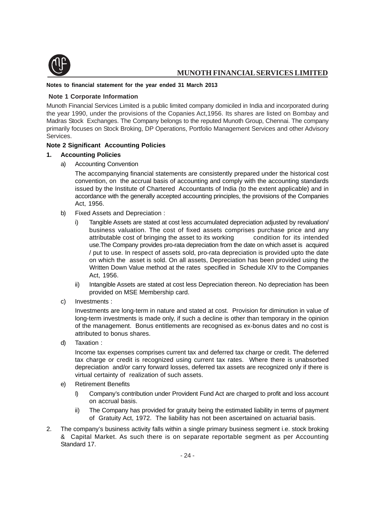

#### **Notes to financial statement for the year ended 31 March 2013**

#### **Note 1 Corporate Information**

Munoth Financial Services Limited is a public limited company domiciled in India and incorporated during the year 1990, under the provisions of the Copanies Act,1956. Its shares are listed on Bombay and Madras Stock Exchanges. The Company belongs to the reputed Munoth Group, Chennai. The company primarily focuses on Stock Broking, DP Operations, Portfolio Management Services and other Advisory Services.

#### **Note 2 Significant Accounting Policies**

#### **1. Accounting Policies**

a) Accounting Convention

The accompanying financial statements are consistently prepared under the historical cost convention, on the accrual basis of accounting and comply with the accounting standards issued by the Institute of Chartered Accountants of India (to the extent applicable) and in accordance with the generally accepted accounting principles, the provisions of the Companies Act, 1956.

- b) Fixed Assets and Depreciation :
	- i) Tangible Assets are stated at cost less accumulated depreciation adjusted by revaluation/ business valuation. The cost of fixed assets comprises purchase price and any attributable cost of bringing the asset to its working condition for its intended use.The Company provides pro-rata depreciation from the date on which asset is acquired / put to use. In respect of assets sold, pro-rata depreciation is provided upto the date on which the asset is sold. On all assets, Depreciation has been provided using the Written Down Value method at the rates specified in Schedule XIV to the Companies Act, 1956.
	- ii) Intangible Assets are stated at cost less Depreciation thereon. No depreciation has been provided on MSE Membership card.
- c) Investments :

Investments are long-term in nature and stated at cost. Provision for diminution in value of long-term investments is made only, if such a decline is other than temporary in the opinion of the management. Bonus entitlements are recognised as ex-bonus dates and no cost is attributed to bonus shares.

d) Taxation :

Income tax expenses comprises current tax and deferred tax charge or credit. The deferred tax charge or credit is recognized using current tax rates. Where there is unabsorbed depreciation and/or carry forward losses, deferred tax assets are recognized only if there is virtual certainty of realization of such assets.

- e) Retirement Benefits
	- I) Company's contribution under Provident Fund Act are charged to profit and loss account on accrual basis.
	- ii) The Company has provided for gratuity being the estimated liability in terms of payment of Gratuity Act, 1972. The liability has not been ascertained on actuarial basis.
- 2. The company's business activity falls within a single primary business segment i.e. stock broking & Capital Market. As such there is on separate reportable segment as per Accounting Standard 17.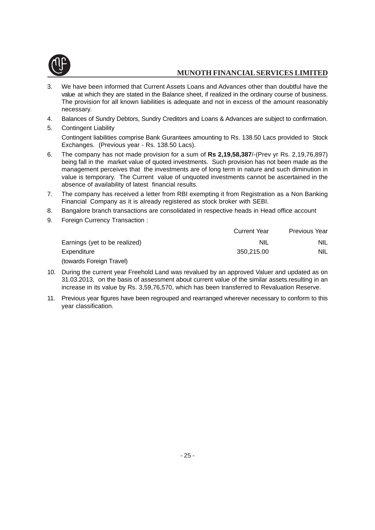

- 3. We have been informed that Current Assets Loans and Advances other than doubtful have the value at which they are stated in the Balance sheet, if realized in the ordinary course of business. The provision for all known liabilities is adequate and not in excess of the amount reasonably necessary.
- 4. Balances of Sundry Debtors, Sundry Creditors and Loans & Advances are subject to confirmation.
- 5. Contingent Liability Contingent liabilities comprise Bank Gurantees amounting to Rs. 138.50 Lacs provided to Stock Exchanges. (Previous year - Rs. 138.50 Lacs).
- 6. The company has not made provision for a sum of **Rs 2,19,58,387**/-(Prev yr Rs. 2,19,76,897) being fall in the market value of quoted investments. Such provision has not been made as the management perceives that the investments are of long term in nature and such diminution in value is temporary. The Current value of unquoted investments cannot be ascertained in the absence of availability of latest financial results.
- 7. The company has received a letter from RBI exempting it from Registration as a Non Banking Financial Company as it is already registered as stock broker with SEBI.
- 8. Bangalore branch transactions are consolidated in respective heads in Head office account
- 9. Foreign Currency Transaction :

|                               | <b>Current Year</b> | Previous Year |
|-------------------------------|---------------------|---------------|
| Earnings (yet to be realized) | NIL                 | NIL.          |
| Expenditure                   | 350.215.00          | <b>NIL</b>    |
| (towards Foreign Travel)      |                     |               |

- 10. During the current year Freehold Land was revalued by an approved Valuer and updated as on 31.03.2013, on the basis of assessment about current value of the similar assets.resulting in an increase in its value by Rs. 3,59,76,570, which has been transferred to Revaluation Reserve.
- 11. Previous year figures have been regrouped and rearranged wherever necessary to conform to this year classification.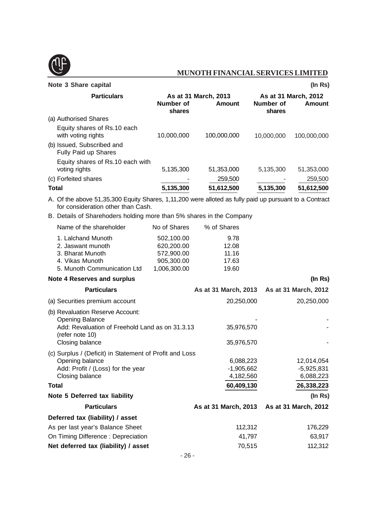

#### **Note 3 Share capital (In Rs)**

| <b>Particulars</b>                                                                                                                           | As at 31 March, 2013<br>Number of<br><b>Amount</b><br>shares |             | As at 31 March, 2012<br>Number of<br>Amount<br>shares |             |  |
|----------------------------------------------------------------------------------------------------------------------------------------------|--------------------------------------------------------------|-------------|-------------------------------------------------------|-------------|--|
| (a) Authorised Shares                                                                                                                        |                                                              |             |                                                       |             |  |
| Equity shares of Rs.10 each<br>with voting rights                                                                                            | 10,000,000                                                   | 100,000,000 | 10,000,000                                            | 100,000,000 |  |
| (b) Issued, Subscribed and<br>Fully Paid up Shares                                                                                           |                                                              |             |                                                       |             |  |
| Equity shares of Rs.10 each with<br>voting rights                                                                                            | 5,135,300                                                    | 51,353,000  | 5,135,300                                             | 51,353,000  |  |
| (c) Forfeited shares                                                                                                                         |                                                              | 259,500     |                                                       | 259,500     |  |
| <b>Total</b>                                                                                                                                 | 5,135,300                                                    | 51,612,500  | 5,135,300                                             | 51,612,500  |  |
| A. Of the above 51,35,300 Equity Shares, 1,11,200 were alloted as fully paid up pursuant to a Contract<br>for consideration other than Cash. |                                                              |             |                                                       |             |  |
| B. Details of Sharehoders holding more than 5% shares in the Company                                                                         |                                                              |             |                                                       |             |  |
| Name of the shareholder                                                                                                                      | No of Shares                                                 | % of Shares |                                                       |             |  |
| 1. Lalchand Munoth                                                                                                                           | 502,100.00                                                   | 9.78        |                                                       |             |  |
| 2. Jaswant munoth                                                                                                                            | 620,200.00                                                   | 12.08       |                                                       |             |  |
| 3. Bharat Munoth                                                                                                                             | 572,900.00                                                   | 11.16       |                                                       |             |  |
| 4. Vikas Munoth                                                                                                                              | 905,300.00                                                   | 17.63       |                                                       |             |  |

# **Note 4 Reserves and surplus** *(In Rs)*

4. Vikas Munoth 905,300.00 17.63 5. Munoth Communication Ltd 1,006,300.00 19.60

| <b>Particulars</b>                                                                                                                                  |                                      | As at 31 March, 2013 As at 31 March, 2012 |
|-----------------------------------------------------------------------------------------------------------------------------------------------------|--------------------------------------|-------------------------------------------|
| (a) Securities premium account                                                                                                                      | 20,250,000                           | 20,250,000                                |
| (b) Revaluation Reserve Account:<br><b>Opening Balance</b><br>Add: Revaluation of Freehold Land as on 31.3.13<br>(refer note 10)<br>Closing balance | 35,976,570<br>35,976,570             |                                           |
| (c) Surplus / (Deficit) in Statement of Profit and Loss<br>Opening balance<br>Add: Profit / (Loss) for the year<br>Closing balance                  | 6,088,223<br>-1,905,662<br>4,182,560 | 12,014,054<br>$-5,925,831$<br>6,088,223   |
| <b>Total</b>                                                                                                                                        | 60,409,130                           | 26,338,223                                |
| Note 5 Deferred tax liability                                                                                                                       |                                      | (ln Rs)                                   |
| <b>Particulars</b>                                                                                                                                  |                                      | As at 31 March, 2013 As at 31 March, 2012 |
| Deferred tax (liability) / asset                                                                                                                    |                                      |                                           |
| As per last year's Balance Sheet                                                                                                                    | 112,312                              | 176,229                                   |
| On Timing Difference: Depreciation                                                                                                                  | 41,797                               | 63,917                                    |
| Net deferred tax (liability) / asset                                                                                                                | 70,515                               | 112,312                                   |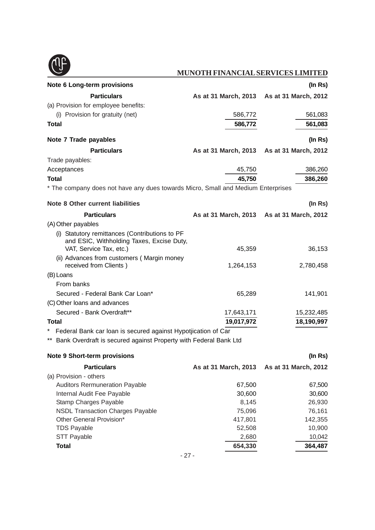

| Note 6 Long-term provisions                                                                 |                      | (ln Rs)                                   |
|---------------------------------------------------------------------------------------------|----------------------|-------------------------------------------|
| <b>Particulars</b>                                                                          |                      | As at 31 March, 2013 As at 31 March, 2012 |
| (a) Provision for employee benefits:                                                        |                      |                                           |
| (i) Provision for gratuity (net)                                                            | 586,772              | 561,083                                   |
| <b>Total</b>                                                                                | 586,772              | 561,083                                   |
| Note 7 Trade payables                                                                       |                      | (ln Rs)                                   |
| <b>Particulars</b>                                                                          | As at 31 March, 2013 | As at 31 March, 2012                      |
| Trade payables:                                                                             |                      |                                           |
| Acceptances                                                                                 | 45,750               | 386,260                                   |
| <b>Total</b>                                                                                | 45,750               | 386,260                                   |
| * The company does not have any dues towards Micro, Small and Medium Enterprises            |                      |                                           |
| Note 8 Other current liabilities                                                            |                      | (ln Rs)                                   |
| <b>Particulars</b>                                                                          |                      | As at 31 March, 2013 As at 31 March, 2012 |
| (A) Other payables                                                                          |                      |                                           |
| (i) Statutory remittances (Contributions to PF<br>and ESIC, Withholding Taxes, Excise Duty, |                      |                                           |
| VAT, Service Tax, etc.)                                                                     | 45,359               | 36,153                                    |
| (ii) Advances from customers (Margin money<br>received from Clients)                        | 1,264,153            | 2,780,458                                 |
| (B) Loans                                                                                   |                      |                                           |
| From banks                                                                                  |                      |                                           |
| Secured - Federal Bank Car Loan*                                                            | 65,289               | 141,901                                   |
| (C) Other loans and advances                                                                |                      |                                           |
| Secured - Bank Overdraft**                                                                  | 17,643,171           | 15,232,485                                |
| Total                                                                                       | 19,017,972           | 18,190,997                                |
| Federal Bank car loan is secured against Hypotjication of Car                               |                      |                                           |
| ** Bank Overdraft is secured against Property with Federal Bank Ltd                         |                      |                                           |
| <b>Note 9 Short-term provisions</b>                                                         |                      | (In Rs)                                   |
| <b>Particulars</b>                                                                          | As at 31 March, 2013 | As at 31 March, 2012                      |
| (a) Provision - others                                                                      |                      |                                           |
| <b>Auditors Rermuneration Payable</b>                                                       | 67,500               | 67,500                                    |
| Internal Audit Fee Payable                                                                  | 30,600               | 30,600                                    |
| Stamp Charges Payable                                                                       | 8,145                | 26,930                                    |
| <b>NSDL Transaction Charges Payable</b>                                                     | 75,096               | 76,161                                    |
| Other General Provision*                                                                    | 417,801              | 142,355                                   |
| <b>TDS Payable</b>                                                                          | 52,508               | 10,900                                    |
| <b>STT Payable</b>                                                                          | 2,680                | 10,042                                    |
| <b>Total</b>                                                                                | 654,330              | 364,487                                   |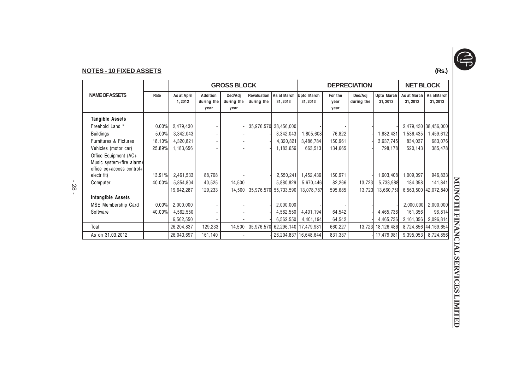

#### **NOTES - 10 FIXED ASSETS(Rs.)**

|                                                       |          | <b>GROSS BLOCK</b>     |                                       |                               |                           |                        | <b>DEPRECIATION</b>   |                         |                       |                              | <b>NET BLOCK</b>        |                       |
|-------------------------------------------------------|----------|------------------------|---------------------------------------|-------------------------------|---------------------------|------------------------|-----------------------|-------------------------|-----------------------|------------------------------|-------------------------|-----------------------|
| <b>NAME OF ASSETS</b>                                 | Rate     | As at April<br>1, 2012 | <b>Addition</b><br>during the<br>year | Ded/Adj<br>during the<br>year | Revaluation<br>during the | As at March<br>31.2013 | Upto March<br>31.2013 | For the<br>year<br>year | Ded/Adj<br>during the | <b>Upto March</b><br>31.2013 | As at March<br>31, 2012 | As atMarch<br>31.2013 |
| <b>Tangible Assets</b>                                |          |                        |                                       |                               |                           |                        |                       |                         |                       |                              |                         |                       |
| Freehold Land *                                       | $0.00\%$ | 2,479,430              |                                       |                               |                           | 35,976,570 38,456,000  |                       |                         |                       |                              |                         | 2,479,430 38,456,000  |
| <b>Buildings</b>                                      | 5.00%    | 3,342,043              |                                       |                               |                           | 3,342,043              | 1,805,608             | 76,822                  |                       | 1,882,431                    | 1,536,435               | .459,612              |
| <b>Furnitures &amp; Fixtures</b>                      | 18.10%   | 4,320,821              |                                       |                               |                           | 4,320,821              | 3,486,784             | 150,961                 |                       | 3,637,745                    | 834,037                 | 683,076               |
| Vehicles (motor car)                                  | 25.89%   | 1,183,656              |                                       |                               |                           | 1,183,656              | 663,513               | 134,665                 |                       | 798,178                      | 520,143                 | 385,478               |
| Office Equipment (AC+                                 |          |                        |                                       |                               |                           |                        |                       |                         |                       |                              |                         |                       |
| Music system+fire alarm+<br>office eq+access control+ |          |                        |                                       |                               |                           |                        |                       |                         |                       |                              |                         |                       |
| electr fit)                                           | 13.91%   | 2,461,533              | 88,708                                |                               |                           | 2,550,241              | 1,452,436             | 150,971                 |                       | 1,603,408                    | 1,009,097               | 946,833               |
| Computer                                              | 40.00%   | 5,854,804              | 40,525                                | 14,500                        |                           | 5,880,829              | 5,670,446             | 82,266                  | 13,723                | 5,738,988                    | 184,358                 | 141,841               |
|                                                       |          | 19,642,287             | 129,233                               | 14,500                        | 35,976,570                |                        | 55,733,590 13,078,787 | 595,685                 | 13,723                | 13,660,750                   |                         | 6,563,500 42,072,840  |
| Intangible Assets                                     |          |                        |                                       |                               |                           |                        |                       |                         |                       |                              |                         |                       |
| MSE Membership Card                                   | 0.00%    | 2,000,000              |                                       |                               |                           | 2,000,000              |                       |                         |                       |                              | 2,000,000               | 2,000,000             |
| Software                                              | 40.00%   | 4,562,550              |                                       |                               |                           | 4,562,550              | 4,401,194             | 64,542                  |                       | 4,465,736                    | 161,356                 | 96,814                |
|                                                       |          | 6,562,550              |                                       |                               |                           | 6,562,550              | 4,401,194             | 64,542                  |                       | 4,465,736                    | 2,161,356               | 2,096,814             |
| Toal                                                  |          | 26,204,837             | 129,233                               | 14,500                        | 35,976,570                | 62,296,140 17,479,981  |                       | 660,227                 |                       | 13,723 18,126,486            |                         | 8,724,856 44,169,654  |
| As on 31.03.2012                                      |          | 26,043,697             | 161,140                               |                               |                           |                        | 26,204,837 16,648,644 | 831,337                 |                       | -  17,479,981                | 9,395,053               | 8,724,856             |

- 28 -

MUNOTH FINANCIALSERVICES LIMITED **MUNOTH FINANCIAL SERVICES LIMITED**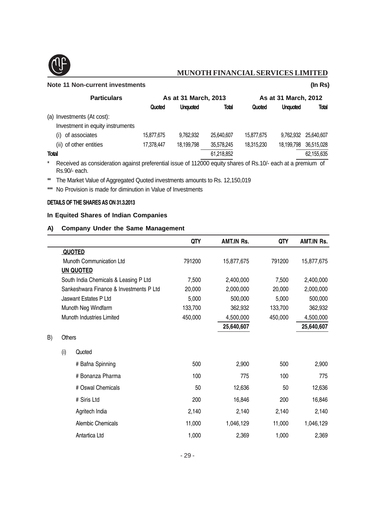

B)

## **MUNOTH FINANCIAL SERVICES LIMITED**

#### **Note 11 Non-current investments (In Rs)**

| <b>Particulars</b>               |            | As at 31 March, 2013 |            | As at 31 March, 2012 |                 |              |  |
|----------------------------------|------------|----------------------|------------|----------------------|-----------------|--------------|--|
|                                  | Quoted     | <b>Unquoted</b>      | Total      | Quoted               | <b>Unquoted</b> | <b>Total</b> |  |
| (a) Investments (At cost):       |            |                      |            |                      |                 |              |  |
| Investment in equity instruments |            |                      |            |                      |                 |              |  |
| of associates<br>(i)             | 15,877,675 | 9.762.932            | 25.640.607 | 15.877.675           | 9.762.932       | 25.640.607   |  |
| (ii) of other entities           | 17.378.447 | 18.199.798           | 35,578,245 | 18.315.230           | 18.199.798      | 36,515,028   |  |
| Total                            |            |                      | 61,218,852 |                      |                 | 62,155,635   |  |
| . .                              | .          | .                    |            | $\cdots$             |                 |              |  |

\* Received as consideration against preferential issue of 112000 equity shares of Rs.10/- each at a premium of Rs.90/- each.

\*\* The Market Value of Aggregated Quoted investments amounts to Rs. 12,150,019

\*\*\* No Provision is made for diminution in Value of Investments

#### **DETAILS OF THE SHARES AS ON 31.3.2013**

#### **In Equited Shares of Indian Companies**

#### **A) Company Under the Same Management**

|    |        |                                         | QTY     | <b>AMT.IN Rs.</b> | QTY     | <b>AMT.IN Rs.</b> |
|----|--------|-----------------------------------------|---------|-------------------|---------|-------------------|
|    |        | <b>QUOTED</b>                           |         |                   |         |                   |
|    |        | Munoth Communication Ltd                | 791200  | 15,877,675        | 791200  | 15,877,675        |
|    |        | <b>UN QUOTED</b>                        |         |                   |         |                   |
|    |        | South India Chemicals & Leasing P Ltd   | 7,500   | 2,400,000         | 7,500   | 2,400,000         |
|    |        | Sankeshwara Finance & Investments P Ltd | 20,000  | 2,000,000         | 20,000  | 2,000,000         |
|    |        | Jaswant Estates P Ltd                   | 5,000   | 500,000           | 5,000   | 500,000           |
|    |        | Munoth Neg Windfarm                     | 133,700 | 362,932           | 133,700 | 362,932           |
|    |        | Munoth Industries Limited               | 450,000 | 4,500,000         | 450,000 | 4,500,000         |
|    |        |                                         |         | 25,640,607        |         | 25,640,607        |
| B) | Others |                                         |         |                   |         |                   |
|    | (i)    | Quoted                                  |         |                   |         |                   |
|    |        | # Bafna Spinning                        | 500     | 2,900             | 500     | 2,900             |
|    |        | # Bonanza Pharma                        | 100     | 775               | 100     | 775               |
|    |        | # Oswal Chemicals                       | 50      | 12,636            | 50      | 12,636            |
|    |        | # Siris Ltd                             | 200     | 16,846            | 200     | 16,846            |
|    |        | Agritech India                          | 2,140   | 2,140             | 2,140   | 2,140             |
|    |        | Alembic Chemicals                       | 11,000  | 1,046,129         | 11,000  | 1,046,129         |
|    |        | Antartica Ltd                           | 1,000   | 2,369             | 1,000   | 2,369             |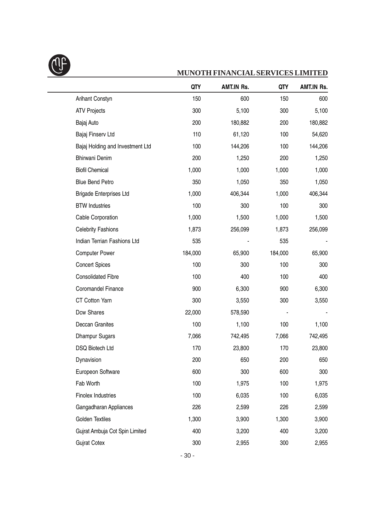

|                                  | QTY     | <b>AMT.IN Rs.</b> | QTY     | <b>AMT.IN Rs.</b> |
|----------------------------------|---------|-------------------|---------|-------------------|
| <b>Arihant Constyn</b>           | 150     | 600               | 150     | 600               |
| <b>ATV Projects</b>              | 300     | 5,100             | 300     | 5,100             |
| Bajaj Auto                       | 200     | 180,882           | 200     | 180,882           |
| Bajaj Finserv Ltd                | 110     | 61,120            | 100     | 54,620            |
| Bajaj Holding and Investment Ltd | 100     | 144,206           | 100     | 144,206           |
| <b>Bhirwani Denim</b>            | 200     | 1,250             | 200     | 1,250             |
| <b>Biofil Chemical</b>           | 1,000   | 1,000             | 1,000   | 1,000             |
| <b>Blue Bend Petro</b>           | 350     | 1,050             | 350     | 1,050             |
| <b>Brigade Enterprises Ltd</b>   | 1,000   | 406,344           | 1,000   | 406,344           |
| <b>BTW Industries</b>            | 100     | 300               | 100     | 300               |
| Cable Corporation                | 1,000   | 1,500             | 1,000   | 1,500             |
| <b>Celebrity Fashions</b>        | 1,873   | 256,099           | 1,873   | 256,099           |
| Indian Terrian Fashions Ltd      | 535     |                   | 535     |                   |
| <b>Computer Power</b>            | 184,000 | 65,900            | 184,000 | 65,900            |
| <b>Concert Spices</b>            | 100     | 300               | 100     | 300               |
| <b>Consolidated Fibre</b>        | 100     | 400               | 100     | 400               |
| Coromandel Finance               | 900     | 6,300             | 900     | 6,300             |
| <b>CT Cotton Yarn</b>            | 300     | 3,550             | 300     | 3,550             |
| Dcw Shares                       | 22,000  | 578,590           |         |                   |
| Deccan Granites                  | 100     | 1,100             | 100     | 1,100             |
| <b>Dhampur Sugars</b>            | 7,066   | 742,495           | 7,066   | 742,495           |
| DSQ Biotech Ltd                  | 170     | 23,800            | 170     | 23,800            |
| Dynavision                       | 200     | 650               | 200     | 650               |
| Europeon Software                | 600     | 300               | 600     | 300               |
| Fab Worth                        | 100     | 1,975             | 100     | 1,975             |
| <b>Finolex Industries</b>        | 100     | 6,035             | 100     | 6,035             |
| Gangadharan Appliances           | 226     | 2,599             | 226     | 2,599             |
| Golden Textiles                  | 1,300   | 3,900             | 1,300   | 3,900             |
| Gujrat Ambuja Cot Spin Limited   | 400     | 3,200             | 400     | 3,200             |
| <b>Gujrat Cotex</b>              | 300     | 2,955             | 300     | 2,955             |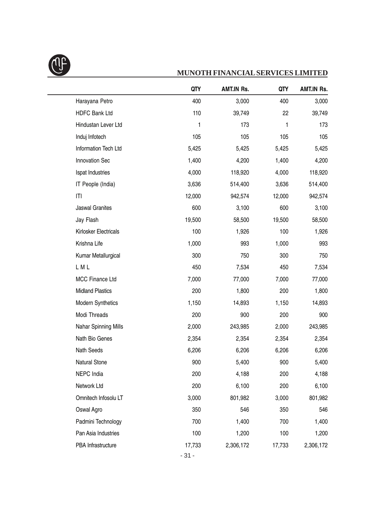

|                             | QTY    | AMT.IN Rs. | QTY    | AMT.IN Rs. |
|-----------------------------|--------|------------|--------|------------|
| Harayana Petro              | 400    | 3,000      | 400    | 3,000      |
| <b>HDFC Bank Ltd</b>        | 110    | 39,749     | 22     | 39,749     |
| Hindustan Lever Ltd         | 1      | 173        | 1      | 173        |
| Induj Infotech              | 105    | 105        | 105    | 105        |
| Information Tech Ltd        | 5,425  | 5,425      | 5,425  | 5,425      |
| Innovation Sec              | 1,400  | 4,200      | 1,400  | 4,200      |
| Ispat Industries            | 4,000  | 118,920    | 4,000  | 118,920    |
| IT People (India)           | 3,636  | 514,400    | 3,636  | 514,400    |
| ITI                         | 12,000 | 942,574    | 12,000 | 942,574    |
| <b>Jaswal Granites</b>      | 600    | 3,100      | 600    | 3,100      |
| Jay Flash                   | 19,500 | 58,500     | 19,500 | 58,500     |
| Kirlosker Electricals       | 100    | 1,926      | 100    | 1,926      |
| Krishna Life                | 1,000  | 993        | 1,000  | 993        |
| Kumar Metallurgical         | 300    | 750        | 300    | 750        |
| LML                         | 450    | 7,534      | 450    | 7,534      |
| MCC Finance Ltd             | 7,000  | 77,000     | 7,000  | 77,000     |
| <b>Midland Plastics</b>     | 200    | 1,800      | 200    | 1,800      |
| Modern Synthetics           | 1,150  | 14,893     | 1,150  | 14,893     |
| Modi Threads                | 200    | 900        | 200    | 900        |
| <b>Nahar Spinning Mills</b> | 2,000  | 243,985    | 2,000  | 243,985    |
| Nath Bio Genes              | 2,354  | 2,354      | 2,354  | 2,354      |
| Nath Seeds                  | 6,206  | 6,206      | 6,206  | 6,206      |
| <b>Natural Stone</b>        | 900    | 5,400      | 900    | 5,400      |
| NEPC India                  | 200    | 4,188      | 200    | 4,188      |
| Network Ltd                 | 200    | 6,100      | 200    | 6,100      |
| Omnitech Infosolu LT        | 3,000  | 801,982    | 3,000  | 801,982    |
| Oswal Agro                  | 350    | 546        | 350    | 546        |
| Padmini Technology          | 700    | 1,400      | 700    | 1,400      |
| Pan Asia Industries         | 100    | 1,200      | 100    | 1,200      |
| PBA Infrastructure          | 17,733 | 2,306,172  | 17,733 | 2,306,172  |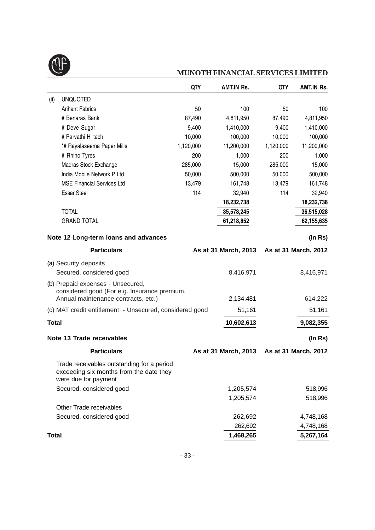

|                                                         |                                                                                                                          | QTY       | <b>AMT.IN Rs.</b>    | QTY       | <b>AMT.IN Rs.</b>    |
|---------------------------------------------------------|--------------------------------------------------------------------------------------------------------------------------|-----------|----------------------|-----------|----------------------|
| (ii)                                                    | <b>UNQUOTED</b>                                                                                                          |           |                      |           |                      |
|                                                         | <b>Arihant Fabrics</b>                                                                                                   | 50        | 100                  | 50        | 100                  |
|                                                         | # Benaras Bank                                                                                                           | 87,490    | 4,811,950            | 87,490    | 4,811,950            |
|                                                         | # Deve Sugar                                                                                                             | 9,400     | 1,410,000            | 9,400     | 1,410,000            |
|                                                         | # Parvathi Hi tech                                                                                                       | 10,000    | 100,000              | 10,000    | 100,000              |
|                                                         | *# Rayalaseema Paper Mills                                                                                               | 1,120,000 | 11,200,000           | 1,120,000 | 11,200,000           |
|                                                         | # Rhino Tyres                                                                                                            | 200       | 1,000                | 200       | 1,000                |
|                                                         | Madras Stock Exchange                                                                                                    | 285,000   | 15,000               | 285,000   | 15,000               |
|                                                         | India Mobile Network P Ltd                                                                                               | 50,000    | 500,000              | 50,000    | 500,000              |
|                                                         | <b>MSE Financial Services Ltd</b>                                                                                        | 13,479    | 161,748              | 13,479    | 161,748              |
|                                                         | <b>Essar Steel</b>                                                                                                       | 114       | 32,940               | 114       | 32,940               |
|                                                         |                                                                                                                          |           | 18,232,738           |           | 18,232,738           |
|                                                         | <b>TOTAL</b>                                                                                                             |           | 35,578,245           |           | 36,515,028           |
|                                                         | <b>GRAND TOTAL</b>                                                                                                       |           | 61,218,852           |           | 62,155,635           |
|                                                         | Note 12 Long-term loans and advances                                                                                     |           |                      |           | (ln Rs)              |
|                                                         | <b>Particulars</b>                                                                                                       |           | As at 31 March, 2013 |           | As at 31 March, 2012 |
|                                                         | (a) Security deposits                                                                                                    |           |                      |           |                      |
|                                                         | Secured, considered good                                                                                                 |           | 8,416,971            |           | 8,416,971            |
|                                                         | (b) Prepaid expenses - Unsecured,<br>considered good (For e.g. Insurance premium,<br>Annual maintenance contracts, etc.) |           | 2,134,481            |           | 614,222              |
| (c) MAT credit entitlement - Unsecured, considered good |                                                                                                                          | 51,161    |                      | 51,161    |                      |
|                                                         |                                                                                                                          |           |                      |           |                      |
| <b>Total</b>                                            |                                                                                                                          |           | 10,602,613           |           | 9,082,355            |
|                                                         | Note 13 Trade receivables                                                                                                |           |                      |           | (In Rs)              |
|                                                         | <b>Particulars</b>                                                                                                       |           | As at 31 March, 2013 |           | As at 31 March, 2012 |
|                                                         | Trade receivables outstanding for a period<br>exceeding six months from the date they<br>were due for payment            |           |                      |           |                      |
|                                                         | Secured, considered good                                                                                                 |           | 1,205,574            |           | 518,996              |
|                                                         |                                                                                                                          |           | 1,205,574            |           | 518,996              |
|                                                         | Other Trade receivables                                                                                                  |           |                      |           |                      |
|                                                         | Secured, considered good                                                                                                 |           | 262,692              |           | 4,748,168            |
|                                                         |                                                                                                                          |           | 262,692              |           | 4,748,168            |
| <b>Total</b>                                            |                                                                                                                          |           | 1,468,265            |           | 5,267,164            |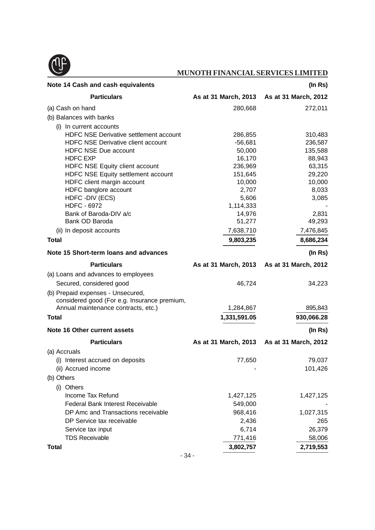

| Note 14 Cash and cash equivalents<br>(In Rs)                                      |                                           |                      |  |
|-----------------------------------------------------------------------------------|-------------------------------------------|----------------------|--|
| <b>Particulars</b>                                                                | As at 31 March, 2013                      | As at 31 March, 2012 |  |
| (a) Cash on hand                                                                  | 280,668                                   | 272,011              |  |
| (b) Balances with banks                                                           |                                           |                      |  |
| (i) In current accounts                                                           |                                           |                      |  |
| <b>HDFC NSE Derivative settlement account</b>                                     | 286,855                                   | 310,483              |  |
| <b>HDFC NSE Derivative client account</b>                                         | $-56,681$                                 | 236,587              |  |
| <b>HDFC NSE Due account</b>                                                       | 50,000                                    | 135,588              |  |
| <b>HDFC EXP</b>                                                                   | 16,170                                    | 88,943               |  |
| HDFC NSE Equity client account                                                    | 236,969                                   | 63,315               |  |
| HDFC NSE Equity settlement account                                                | 151,645                                   | 29,220               |  |
| HDFC client margin account                                                        | 10,000                                    | 10,000               |  |
| HDFC banglore account                                                             | 2,707                                     | 8,033                |  |
| HDFC - DIV (ECS)                                                                  | 5,606                                     | 3,085                |  |
| <b>HDFC - 6972</b>                                                                | 1,114,333                                 |                      |  |
| Bank of Baroda-DIV a/c<br>Bank OD Baroda                                          | 14,976<br>51,277                          | 2,831<br>49,293      |  |
| (ii) In deposit accounts                                                          | 7,638,710                                 | 7,476,845            |  |
| <b>Total</b>                                                                      | 9,803,235                                 | 8,686,234            |  |
| Note 15 Short-term loans and advances                                             |                                           | (In Rs)              |  |
|                                                                                   |                                           |                      |  |
| <b>Particulars</b>                                                                | As at 31 March, 2013 As at 31 March, 2012 |                      |  |
| (a) Loans and advances to employees                                               |                                           |                      |  |
| Secured, considered good                                                          | 46,724                                    | 34,223               |  |
| (b) Prepaid expenses - Unsecured,<br>considered good (For e.g. Insurance premium, |                                           |                      |  |
| Annual maintenance contracts, etc.)                                               | 1,284,867                                 | 895,843              |  |
| <b>Total</b>                                                                      | 1,331,591.05                              | 930,066.28           |  |
| Note 16 Other current assets                                                      |                                           | (In Rs)              |  |
| <b>Particulars</b>                                                                | As at 31 March, 2013                      | As at 31 March, 2012 |  |
| (a) Accruals                                                                      |                                           |                      |  |
| (i) Interest accrued on deposits                                                  | 77,650                                    | 79,037               |  |
| (ii) Accrued income                                                               |                                           | 101,426              |  |
| (b) Others                                                                        |                                           |                      |  |
| (i) Others                                                                        |                                           |                      |  |
| Income Tax Refund                                                                 | 1,427,125                                 | 1,427,125            |  |
| <b>Federal Bank Interest Receivable</b>                                           | 549,000                                   |                      |  |
| DP Amc and Transactions receivable                                                | 968,416                                   | 1,027,315            |  |
| DP Service tax receivable                                                         | 2,436                                     | 265                  |  |
| Service tax input                                                                 | 6,714                                     | 26,379               |  |
| <b>TDS Receivable</b>                                                             | 771,416                                   | 58,006               |  |
| <b>Total</b>                                                                      | 3,802,757                                 | 2,719,553            |  |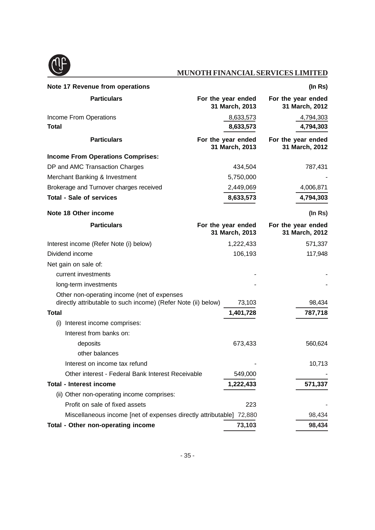

| Note 17 Revenue from operations                                                                              |                                      | (In Rs)                              |
|--------------------------------------------------------------------------------------------------------------|--------------------------------------|--------------------------------------|
| <b>Particulars</b>                                                                                           | For the year ended<br>31 March, 2013 | For the year ended<br>31 March, 2012 |
| Income From Operations                                                                                       | 8,633,573                            | 4,794,303                            |
| <b>Total</b>                                                                                                 | 8,633,573                            | 4,794,303                            |
| <b>Particulars</b>                                                                                           | For the year ended<br>31 March, 2013 | For the year ended<br>31 March, 2012 |
| <b>Income From Operations Comprises:</b>                                                                     |                                      |                                      |
| DP and AMC Transaction Charges                                                                               | 434,504                              | 787,431                              |
| Merchant Banking & Investment                                                                                | 5,750,000                            |                                      |
| Brokerage and Turnover charges received                                                                      | 2,449,069                            | 4,006,871                            |
| <b>Total - Sale of services</b>                                                                              | 8,633,573                            | 4,794,303                            |
| Note 18 Other income                                                                                         |                                      | (ln Rs)                              |
| <b>Particulars</b>                                                                                           | For the year ended<br>31 March, 2013 | For the year ended<br>31 March, 2012 |
| Interest income (Refer Note (i) below)                                                                       | 1,222,433                            | 571,337                              |
| Dividend income                                                                                              | 106,193                              | 117,948                              |
| Net gain on sale of:                                                                                         |                                      |                                      |
| current investments                                                                                          |                                      |                                      |
| long-term investments                                                                                        |                                      |                                      |
| Other non-operating income (net of expenses<br>directly attributable to such income) (Refer Note (ii) below) | 73,103                               | 98,434                               |
| Total                                                                                                        | 1,401,728                            | 787,718                              |
| (i) Interest income comprises:                                                                               |                                      |                                      |
| Interest from banks on:                                                                                      |                                      |                                      |
| deposits                                                                                                     | 673,433                              | 560,624                              |
| other balances                                                                                               |                                      |                                      |
| Interest on income tax refund                                                                                |                                      | 10,713                               |
| Other interest - Federal Bank Interest Receivable                                                            | 549,000                              |                                      |
| <b>Total - Interest income</b>                                                                               | 1,222,433                            | 571,337                              |
| (ii) Other non-operating income comprises:                                                                   |                                      |                                      |
| Profit on sale of fixed assets                                                                               | 223                                  |                                      |
| Miscellaneous income [net of expenses directly attributable] 72,880                                          |                                      | 98,434                               |
| Total - Other non-operating income                                                                           | 73,103                               | 98,434                               |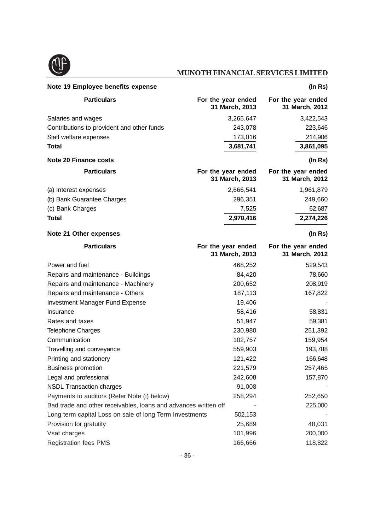

| Note 19 Employee benefits expense                               |                                      | (In Rs)                              |
|-----------------------------------------------------------------|--------------------------------------|--------------------------------------|
| <b>Particulars</b>                                              | For the year ended<br>31 March, 2013 | For the year ended<br>31 March, 2012 |
| Salaries and wages                                              | 3,265,647                            | 3,422,543                            |
| Contributions to provident and other funds                      | 243,078                              | 223,646                              |
| Staff welfare expenses                                          | 173,016                              | 214,906                              |
| <b>Total</b>                                                    | 3,681,741                            | 3,861,095                            |
| <b>Note 20 Finance costs</b>                                    |                                      | (ln Rs)                              |
| <b>Particulars</b>                                              | For the year ended<br>31 March, 2013 | For the year ended<br>31 March, 2012 |
| (a) Interest expenses                                           | 2,666,541                            | 1,961,879                            |
| (b) Bank Guarantee Charges                                      | 296,351                              | 249,660                              |
| (c) Bank Charges                                                | 7,525                                | 62,687                               |
| <b>Total</b>                                                    | 2,970,416                            | 2,274,226                            |
| <b>Note 21 Other expenses</b>                                   |                                      | (In Rs)                              |
| <b>Particulars</b>                                              | For the year ended<br>31 March, 2013 | For the year ended<br>31 March, 2012 |
| Power and fuel                                                  | 468,252                              | 529,543                              |
| Repairs and maintenance - Buildings                             | 84,420                               | 78,660                               |
| Repairs and maintenance - Machinery                             | 200,652                              | 208,919                              |
| Repairs and maintenance - Others                                | 187,113                              | 167,822                              |
| <b>Investment Manager Fund Expense</b>                          | 19,406                               |                                      |
| Insurance                                                       | 58,416                               | 58,831                               |
| Rates and taxes                                                 | 51,947                               | 59,381                               |
| <b>Telephone Charges</b>                                        | 230,980                              | 251,392                              |
| Communication                                                   | 102,757                              | 159,954                              |
| Travelling and conveyance                                       | 559,903                              | 193,788                              |
| Printing and stationery                                         | 121,422                              | 166,648                              |
| <b>Business promotion</b>                                       | 221,579                              | 257,465                              |
| Legal and professional                                          | 242,608                              | 157,870                              |
| <b>NSDL Transaction charges</b>                                 | 91,008                               |                                      |
| Payments to auditors (Refer Note (i) below)                     | 258,294                              | 252,650                              |
| Bad trade and other receivables, loans and advances written off |                                      | 225,000                              |
| Long term capital Loss on sale of long Term Investments         | 502,153                              |                                      |
| Provision for gratutity                                         | 25,689                               | 48,031                               |
| Vsat charges                                                    | 101,996                              | 200,000                              |
| <b>Registration fees PMS</b>                                    | 166,666                              | 118,822                              |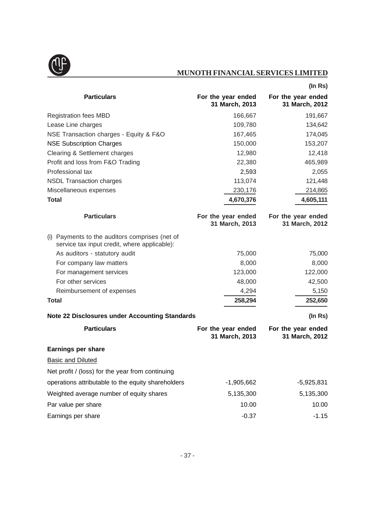

|                                                                                                |                                      | (ln Rs)                              |
|------------------------------------------------------------------------------------------------|--------------------------------------|--------------------------------------|
| <b>Particulars</b>                                                                             | For the year ended<br>31 March, 2013 | For the year ended<br>31 March, 2012 |
| <b>Registration fees MBD</b>                                                                   | 166,667                              | 191,667                              |
| Lease Line charges                                                                             | 109,780                              | 134,642                              |
| NSE Transaction charges - Equity & F&O                                                         | 167,465                              | 174,045                              |
| <b>NSE Subscription Charges</b>                                                                | 150,000                              | 153,207                              |
| Clearing & Settlement charges                                                                  | 12,980                               | 12,418                               |
| Profit and loss from F&O Trading                                                               | 22,380                               | 465,989                              |
| Professional tax                                                                               | 2,593                                | 2,055                                |
| <b>NSDL Transaction charges</b>                                                                | 113,074                              | 121,448                              |
| Miscellaneous expenses                                                                         | 230,176                              | 214,865                              |
| <b>Total</b>                                                                                   | 4,670,376                            | 4,605,111                            |
| <b>Particulars</b>                                                                             | For the year ended<br>31 March, 2013 | For the year ended<br>31 March, 2012 |
| (i) Payments to the auditors comprises (net of<br>service tax input credit, where applicable): |                                      |                                      |
| As auditors - statutory audit                                                                  | 75,000                               | 75,000                               |
| For company law matters                                                                        | 8,000                                | 8,000                                |
| For management services                                                                        | 123,000                              | 122,000                              |
| For other services                                                                             | 48,000                               | 42,500                               |
| Reimbursement of expenses                                                                      | 4,294                                | 5,150                                |
| <b>Total</b>                                                                                   | 258,294                              | 252,650                              |
| <b>Note 22 Disclosures under Accounting Standards</b>                                          |                                      | $($ In Rs $)$                        |
| <b>Particulars</b>                                                                             | For the year ended<br>31 March, 2013 | For the year ended<br>31 March, 2012 |
| <b>Earnings per share</b>                                                                      |                                      |                                      |
| <b>Basic and Diluted</b>                                                                       |                                      |                                      |
| Net profit / (loss) for the year from continuing                                               |                                      |                                      |
| operations attributable to the equity shareholders                                             | $-1,905,662$                         | $-5,925,831$                         |
| Weighted average number of equity shares                                                       | 5,135,300                            | 5,135,300                            |
| Par value per share                                                                            | 10.00                                | 10.00                                |
| Earnings per share                                                                             | $-0.37$                              | $-1.15$                              |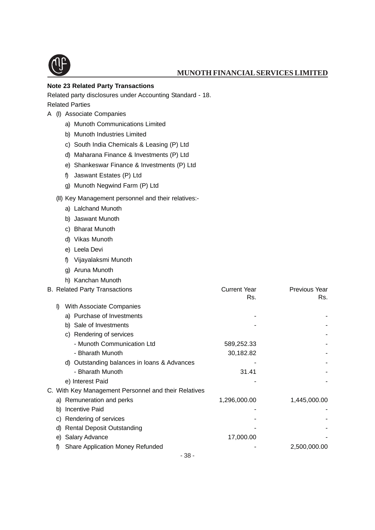

#### **Note 23 Related Party Transactions**

Related party disclosures under Accounting Standard - 18.

Related Parties

- A (I) Associate Companies
	- a) Munoth Communications Limited
	- b) Munoth Industries Limited
	- c) South India Chemicals & Leasing (P) Ltd
	- d) Maharana Finance & Investments (P) Ltd
	- e) Shankeswar Finance & Investments (P) Ltd
	- f) Jaswant Estates (P) Ltd
	- g) Munoth Negwind Farm (P) Ltd

#### (II) Key Management personnel and their relatives:-

- a) Lalchand Munoth
- b) Jaswant Munoth
- c) Bharat Munoth
- d) Vikas Munoth
- e) Leela Devi
- f) Vijayalaksmi Munoth
- g) Aruna Munoth
- h) Kanchan Munoth

|                                               | <b>Current Year</b><br>Rs.                                                                   | Previous Year<br>Rs. |
|-----------------------------------------------|----------------------------------------------------------------------------------------------|----------------------|
| With Associate Companies<br>$\mathbf{D}$      |                                                                                              |                      |
| a) Purchase of Investments                    |                                                                                              |                      |
| b) Sale of Investments                        |                                                                                              |                      |
| c) Rendering of services                      |                                                                                              |                      |
| - Munoth Communication Ltd                    | 589,252.33                                                                                   |                      |
| - Bharath Munoth                              | 30,182.82                                                                                    |                      |
| d) Outstanding balances in loans & Advances   |                                                                                              |                      |
| - Bharath Munoth                              | 31.41                                                                                        |                      |
| e) Interest Paid                              |                                                                                              |                      |
|                                               |                                                                                              |                      |
| a) Remuneration and perks                     | 1,296,000.00                                                                                 | 1,445,000.00         |
| b) Incentive Paid                             |                                                                                              |                      |
| c) Rendering of services                      |                                                                                              |                      |
| d) Rental Deposit Outstanding                 |                                                                                              |                      |
| e) Salary Advance                             | 17,000.00                                                                                    |                      |
| <b>Share Application Money Refunded</b><br>f) |                                                                                              | 2,500,000.00         |
|                                               | <b>B. Related Party Transactions</b><br>C. With Key Management Personnel and their Relatives |                      |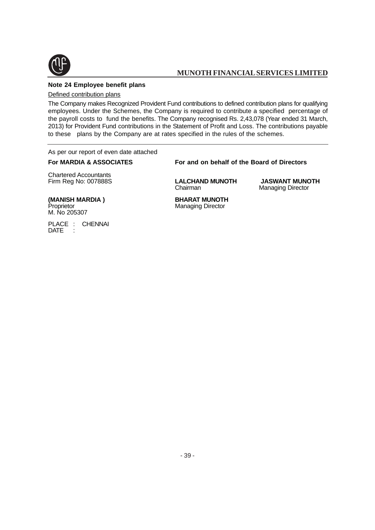

#### **Note 24 Employee benefit plans**

Defined contribution plans

The Company makes Recognized Provident Fund contributions to defined contribution plans for qualifying employees. Under the Schemes, the Company is required to contribute a specified percentage of the payroll costs to fund the benefits. The Company recognised Rs. 2,43,078 (Year ended 31 March, 2013) for Provident Fund contributions in the Statement of Profit and Loss. The contributions payable to these plans by the Company are at rates specified in the rules of the schemes.

As per our report of even date attached

#### **For MARDIA & ASSOCIATES For and on behalf of the Board of Directors**

Chartered Accountants

Firm Reg No: 007888S **LALCHAND MUNOTH JASWANT MUNOTH**

**Managing Director** 

Managing Director

# **(MANISH MARDIA ) BHARAT MUNOTH**<br>Proprietor **Managing Director** M. No 205307

PLACE : CHENNAI<br>DATE : DATE

- 39 -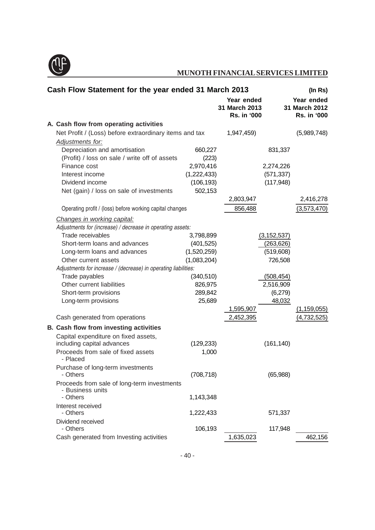

| Cash Flow Statement for the year ended 31 March 2013            |             |                                                   |               | (In Rs)                                           |
|-----------------------------------------------------------------|-------------|---------------------------------------------------|---------------|---------------------------------------------------|
|                                                                 |             | Year ended<br>31 March 2013<br><b>Rs. in '000</b> |               | Year ended<br>31 March 2012<br><b>Rs. in '000</b> |
| A. Cash flow from operating activities                          |             |                                                   |               |                                                   |
| Net Profit / (Loss) before extraordinary items and tax          |             | 1,947,459)                                        |               | (5,989,748)                                       |
| Adjustments for:                                                |             |                                                   |               |                                                   |
| Depreciation and amortisation                                   | 660,227     |                                                   | 831,337       |                                                   |
| (Profit) / loss on sale / write off of assets                   | (223)       |                                                   |               |                                                   |
| Finance cost                                                    | 2,970,416   |                                                   | 2,274,226     |                                                   |
| Interest income                                                 | (1,222,433) |                                                   | (571, 337)    |                                                   |
| Dividend income                                                 | (106, 193)  |                                                   | (117, 948)    |                                                   |
| Net (gain) / loss on sale of investments                        | 502,153     |                                                   |               |                                                   |
|                                                                 |             | 2,803,947                                         |               | 2,416,278                                         |
| Operating profit / (loss) before working capital changes        |             | 856,488                                           |               | (3,573,470)                                       |
| Changes in working capital:                                     |             |                                                   |               |                                                   |
| Adjustments for (increase) / decrease in operating assets:      |             |                                                   |               |                                                   |
| Trade receivables                                               | 3,798,899   |                                                   | (3, 152, 537) |                                                   |
| Short-term loans and advances                                   | (401, 525)  |                                                   | (263, 626)    |                                                   |
| Long-term loans and advances                                    | (1,520,259) |                                                   | (519,608)     |                                                   |
| Other current assets                                            | (1,083,204) |                                                   | 726,508       |                                                   |
| Adjustments for increase / (decrease) in operating liabilities: |             |                                                   |               |                                                   |
| Trade payables                                                  | (340, 510)  |                                                   | (508, 454)    |                                                   |
| Other current liabilities                                       | 826,975     |                                                   | 2,516,909     |                                                   |
| Short-term provisions                                           | 289,842     |                                                   | (6,279)       |                                                   |
| Long-term provisions                                            | 25,689      |                                                   | 48,032        |                                                   |
|                                                                 |             | 1,595,907                                         |               | <u>(1,159,055)</u>                                |
| Cash generated from operations                                  |             | 2,452,395                                         |               | (4,732,525)                                       |
| B. Cash flow from investing activities                          |             |                                                   |               |                                                   |
| Capital expenditure on fixed assets,                            |             |                                                   |               |                                                   |
| including capital advances                                      | (129, 233)  |                                                   | (161, 140)    |                                                   |
| Proceeds from sale of fixed assets<br>- Placed                  | 1,000       |                                                   |               |                                                   |
| Purchase of long-term investments<br>- Others                   | (708, 718)  |                                                   | (65,988)      |                                                   |
| Proceeds from sale of long-term investments<br>- Business units |             |                                                   |               |                                                   |
| - Others                                                        | 1,143,348   |                                                   |               |                                                   |
| Interest received                                               |             |                                                   |               |                                                   |
| - Others                                                        | 1,222,433   |                                                   | 571,337       |                                                   |
| Dividend received                                               |             |                                                   |               |                                                   |
| - Others                                                        | 106,193     |                                                   | 117,948       |                                                   |
| Cash generated from Investing activities                        |             | 1,635,023                                         |               | 462,156                                           |